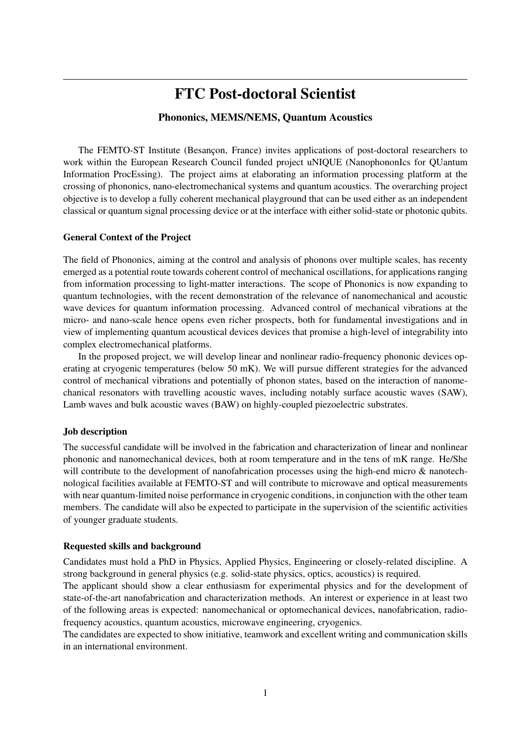# FTC Post-doctoral Scientist

# Phononics, MEMS/NEMS, Quantum Acoustics

The FEMTO-ST Institute (Besançon, France) invites applications of post-doctoral researchers to work within the European Research Council funded project uNIQUE (NanophononIcs for QUantum Information ProcEssing). The project aims at elaborating an information processing platform at the crossing of phononics, nano-electromechanical systems and quantum acoustics. The overarching project objective is to develop a fully coherent mechanical playground that can be used either as an independent classical or quantum signal processing device or at the interface with either solid-state or photonic qubits.

#### General Context of the Project

The field of Phononics, aiming at the control and analysis of phonons over multiple scales, has recenty emerged as a potential route towards coherent control of mechanical oscillations, for applications ranging from information processing to light-matter interactions. The scope of Phononics is now expanding to quantum technologies, with the recent demonstration of the relevance of nanomechanical and acoustic wave devices for quantum information processing. Advanced control of mechanical vibrations at the micro- and nano-scale hence opens even richer prospects, both for fundamental investigations and in view of implementing quantum acoustical devices devices that promise a high-level of integrability into complex electromechanical platforms.

In the proposed project, we will develop linear and nonlinear radio-frequency phononic devices operating at cryogenic temperatures (below 50 mK). We will pursue different strategies for the advanced control of mechanical vibrations and potentially of phonon states, based on the interaction of nanomechanical resonators with travelling acoustic waves, including notably surface acoustic waves (SAW), Lamb waves and bulk acoustic waves (BAW) on highly-coupled piezoelectric substrates.

#### Job description

The successful candidate will be involved in the fabrication and characterization of linear and nonlinear phononic and nanomechanical devices, both at room temperature and in the tens of mK range. He/She will contribute to the development of nanofabrication processes using the high-end micro & nanotechnological facilities available at FEMTO-ST and will contribute to microwave and optical measurements with near quantum-limited noise performance in cryogenic conditions, in conjunction with the other team members. The candidate will also be expected to participate in the supervision of the scientific activities of younger graduate students.

#### Requested skills and background

Candidates must hold a PhD in Physics, Applied Physics, Engineering or closely-related discipline. A strong background in general physics (e.g. solid-state physics, optics, acoustics) is required.

The applicant should show a clear enthusiasm for experimental physics and for the development of state-of-the-art nanofabrication and characterization methods. An interest or experience in at least two of the following areas is expected: nanomechanical or optomechanical devices, nanofabrication, radiofrequency acoustics, quantum acoustics, microwave engineering, cryogenics.

The candidates are expected to show initiative, teamwork and excellent writing and communication skills in an international environment.